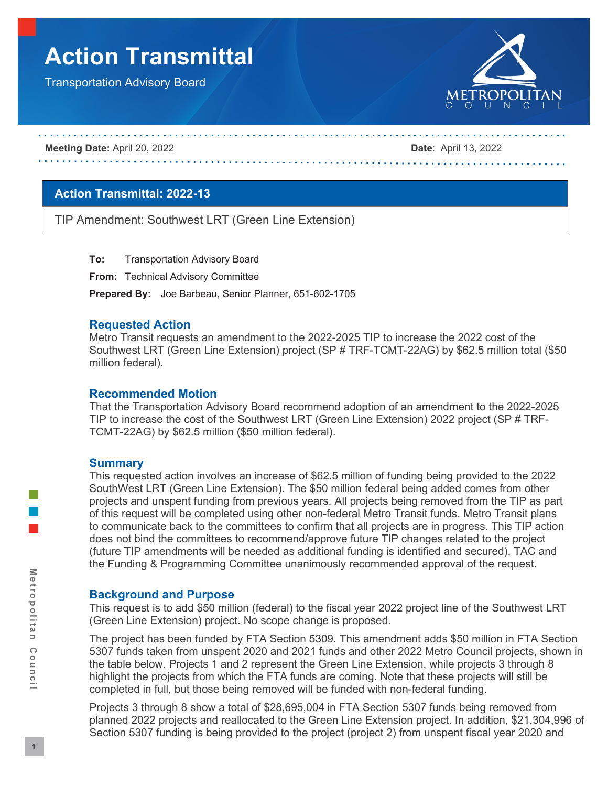# **Action Transmittal**

Transportation Advisory Board



**Meeting Date:** April 20, 2022 **Date**: April 13, 2022

# **Action Transmittal: 2022-13**

TIP Amendment: Southwest LRT (Green Line Extension)

**To:** Transportation Advisory Board

**From:** Technical Advisory Committee

**Prepared By:** Joe Barbeau, Senior Planner, 651-602-1705

#### **Requested Action**

Metro Transit requests an amendment to the 2022-2025 TIP to increase the 2022 cost of the Southwest LRT (Green Line Extension) project (SP # TRF-TCMT-22AG) by \$62.5 million total (\$50 million federal).

#### **Recommended Motion**

That the Transportation Advisory Board recommend adoption of an amendment to the 2022-2025 TIP to increase the cost of the Southwest LRT (Green Line Extension) 2022 project (SP # TRF-TCMT-22AG) by \$62.5 million (\$50 million federal).

#### **Summary**

This requested action involves an increase of \$62.5 million of funding being provided to the 2022 SouthWest LRT (Green Line Extension). The \$50 million federal being added comes from other projects and unspent funding from previous years. All projects being removed from the TIP as part of this request will be completed using other non-federal Metro Transit funds. Metro Transit plans to communicate back to the committees to confirm that all projects are in progress. This TIP action does not bind the committees to recommend/approve future TIP changes related to the project (future TIP amendments will be needed as additional funding is identified and secured). TAC and the Funding & Programming Committee unanimously recommended approval of the request.

#### **Background and Purpose**

This request is to add \$50 million (federal) to the fiscal year 2022 project line of the Southwest LRT (Green Line Extension) project. No scope change is proposed.

The project has been funded by FTA Section 5309. This amendment adds \$50 million in FTA Section 5307 funds taken from unspent 2020 and 2021 funds and other 2022 Metro Council projects, shown in the table below. Projects 1 and 2 represent the Green Line Extension, while projects 3 through 8 highlight the projects from which the FTA funds are coming. Note that these projects will still be completed in full, but those being removed will be funded with non-federal funding.

Projects 3 through 8 show a total of \$28,695,004 in FTA Section 5307 funds being removed from planned 2022 projects and reallocated to the Green Line Extension project. In addition, \$21,304,996 of Section 5307 funding is being provided to the project (project 2) from unspent fiscal year 2020 and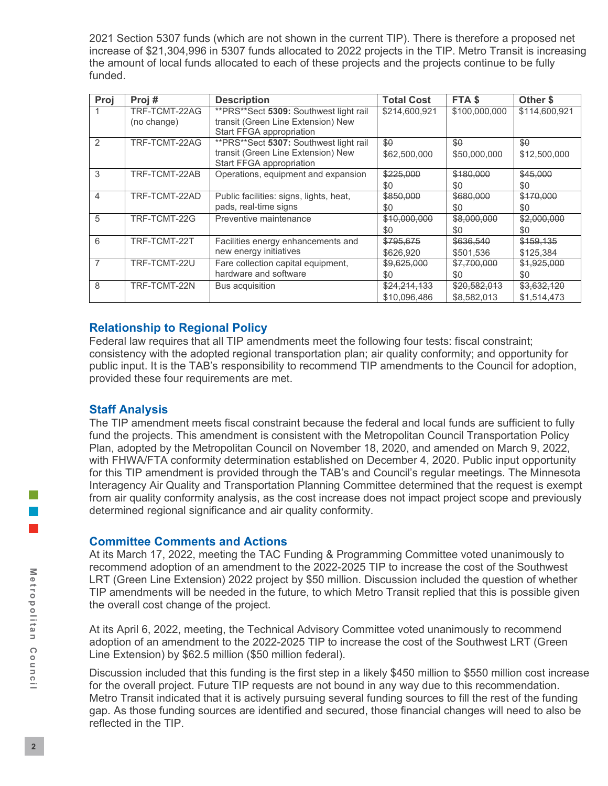2021 Section 5307 funds (which are not shown in the current TIP). There is therefore a proposed net increase of \$21,304,996 in 5307 funds allocated to 2022 projects in the TIP. Metro Transit is increasing the amount of local funds allocated to each of these projects and the projects continue to be fully funded.

| Proj          | Proj#         | <b>Description</b>                       | <b>Total Cost</b> | FTA <sub>\$</sub> | Other \$      |
|---------------|---------------|------------------------------------------|-------------------|-------------------|---------------|
|               | TRF-TCMT-22AG | ** PRS** Sect 5309: Southwest light rail | \$214,600,921     | \$100,000,000     | \$114,600,921 |
|               | (no change)   | transit (Green Line Extension) New       |                   |                   |               |
|               |               | Start FFGA appropriation                 |                   |                   |               |
| $\mathcal{P}$ | TRF-TCMT-22AG | ** PRS** Sect 5307: Southwest light rail | \$0               | \$0               | \$0           |
|               |               | transit (Green Line Extension) New       | \$62,500,000      | \$50,000,000      | \$12,500,000  |
|               |               | Start FFGA appropriation                 |                   |                   |               |
| 3             | TRF-TCMT-22AB | Operations, equipment and expansion      | \$225,000         | \$180,000         | \$45,000      |
|               |               |                                          | \$0               | \$0               | \$0           |
| 4             | TRF-TCMT-22AD | Public facilities: signs, lights, heat,  | \$850,000         | \$680,000         | \$170,000     |
|               |               | pads, real-time signs                    | \$0               | \$0               | \$0           |
| 5             | TRF-TCMT-22G  | Preventive maintenance                   | \$10,000,000      | \$8,000,000       | \$2,000,000   |
|               |               |                                          | \$0               | \$0               | \$0           |
| 6             | TRF-TCMT-22T  | Facilities energy enhancements and       | \$795,675         | \$636,540         | \$159,135     |
|               |               | new energy initiatives                   | \$626.920         | \$501,536         | \$125,384     |
| 7             | TRF-TCMT-22U  | Fare collection capital equipment,       | \$9,625,000       | \$7,700,000       | \$1,925,000   |
|               |               | hardware and software                    | \$0               | \$0               | \$0           |
| 8             | TRF-TCMT-22N  | Bus acquisition                          | \$24,214,133      | \$20,582,013      | \$3,632,120   |
|               |               |                                          | \$10.096.486      | \$8.582,013       | \$1,514,473   |

# **Relationship to Regional Policy**

Federal law requires that all TIP amendments meet the following four tests: fiscal constraint; consistency with the adopted regional transportation plan; air quality conformity; and opportunity for public input. It is the TAB's responsibility to recommend TIP amendments to the Council for adoption, provided these four requirements are met.

# **Staff Analysis**

The TIP amendment meets fiscal constraint because the federal and local funds are sufficient to fully fund the projects. This amendment is consistent with the Metropolitan Council Transportation Policy Plan, adopted by the Metropolitan Council on November 18, 2020, and amended on March 9, 2022, with FHWA/FTA conformity determination established on December 4, 2020. Public input opportunity for this TIP amendment is provided through the TAB's and Council's regular meetings. The Minnesota Interagency Air Quality and Transportation Planning Committee determined that the request is exempt from air quality conformity analysis, as the cost increase does not impact project scope and previously determined regional significance and air quality conformity.

# **Committee Comments and Actions**

At its March 17, 2022, meeting the TAC Funding & Programming Committee voted unanimously to recommend adoption of an amendment to the 2022-2025 TIP to increase the cost of the Southwest LRT (Green Line Extension) 2022 project by \$50 million. Discussion included the question of whether TIP amendments will be needed in the future, to which Metro Transit replied that this is possible given the overall cost change of the project.

At its April 6, 2022, meeting, the Technical Advisory Committee voted unanimously to recommend adoption of an amendment to the 2022-2025 TIP to increase the cost of the Southwest LRT (Green Line Extension) by \$62.5 million (\$50 million federal).

Discussion included that this funding is the first step in a likely \$450 million to \$550 million cost increase for the overall project. Future TIP requests are not bound in any way due to this recommendation. Metro Transit indicated that it is actively pursuing several funding sources to fill the rest of the funding gap. As those funding sources are identified and secured, those financial changes will need to also be reflected in the TIP.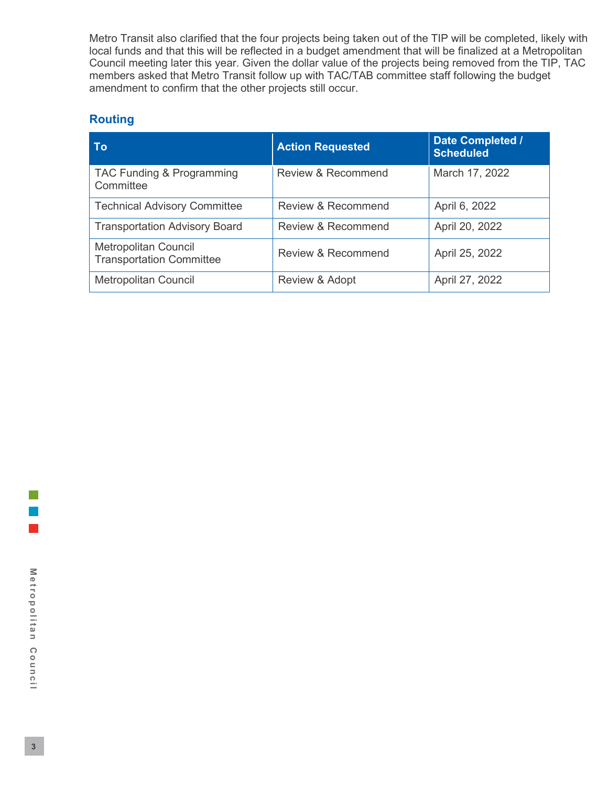Metro Transit also clarified that the four projects being taken out of the TIP will be completed, likely with local funds and that this will be reflected in a budget amendment that will be finalized at a Metropolitan Council meeting later this year. Given the dollar value of the projects being removed from the TIP, TAC members asked that Metro Transit follow up with TAC/TAB committee staff following the budget amendment to confirm that the other projects still occur.

# **Routing**

| Τo                                                             | <b>Action Requested</b> | Date Completed /<br><b>Scheduled</b> |
|----------------------------------------------------------------|-------------------------|--------------------------------------|
| TAC Funding & Programming<br>Committee                         | Review & Recommend      | March 17, 2022                       |
| <b>Technical Advisory Committee</b>                            | Review & Recommend      | April 6, 2022                        |
| <b>Transportation Advisory Board</b>                           | Review & Recommend      | April 20, 2022                       |
| <b>Metropolitan Council</b><br><b>Transportation Committee</b> | Review & Recommend      | April 25, 2022                       |
| <b>Metropolitan Council</b>                                    | Review & Adopt          | April 27, 2022                       |

l a l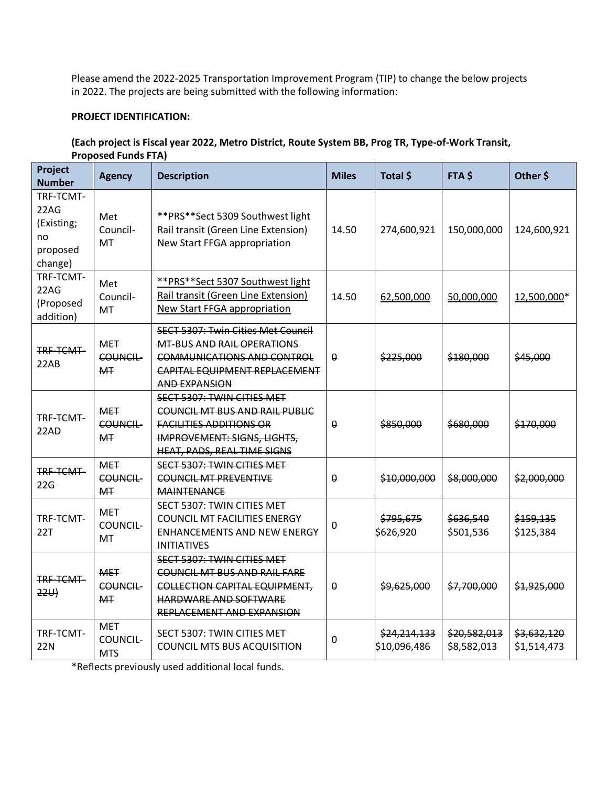Please amend the 2022-2025 Transportation Improvement Program (TIP) to change the below projects in 2022. The projects are being submitted with the following information:

# **PROJECT IDENTIFICATION:**

#### **(Each project is Fiscal year 2022, Metro District, Route System BB, Prog TR, Type-of-Work Transit, Proposed Funds FTA)**

| Project<br><b>Number</b>                                     | <b>Agency</b>                                   | <b>Description</b>                                                                                                                                                                | <b>Miles</b> | Total \$                     | FTA\$                       | Other \$                   |
|--------------------------------------------------------------|-------------------------------------------------|-----------------------------------------------------------------------------------------------------------------------------------------------------------------------------------|--------------|------------------------------|-----------------------------|----------------------------|
| TRF-TCMT-<br>22AG<br>(Existing;<br>no<br>proposed<br>change) | Met<br>Council-<br>MT                           | ** PRS** Sect 5309 Southwest light<br>Rail transit (Green Line Extension)<br>New Start FFGA appropriation                                                                         | 14.50        | 274,600,921                  | 150,000,000                 | 124,600,921                |
| TRF-TCMT-<br>22AG<br>(Proposed<br>addition)                  | Met<br>Council-<br>MT                           | **PRS**Sect 5307 Southwest light<br>Rail transit (Green Line Extension)<br>New Start FFGA appropriation                                                                           | 14.50        | 62,500,000                   | 50,000,000                  | 12,500,000*                |
| TRF-TCMT-<br>22AB                                            | <b>MET</b><br><b>COUNCIL-</b><br>M <sub>T</sub> | <b>SECT 5307: Twin Cities Met Council</b><br><b>MT-BUS AND RAIL OPERATIONS</b><br><b>COMMUNICATIONS AND CONTROL</b><br>CAPITAL EQUIPMENT REPLACEMENT<br>AND EXPANSION             | $\theta$     | \$225,000                    | \$180,000                   | \$45,000                   |
| TRF-TCMT-<br>22AD                                            | <b>MET</b><br><b>COUNCIL-</b><br><b>MT</b>      | <b>SECT 5307: TWIN CITIES MET</b><br><b>COUNCIL MT BUS AND RAIL PUBLIC</b><br><b>FACILITIES ADDITIONS OR</b><br><b>IMPROVEMENT: SIGNS, LIGHTS,</b><br>HEAT, PADS, REAL TIME SIGNS | $\Omega$     | \$850,000                    | \$680,000                   | \$170,000                  |
| TRF-TCMT-<br><del>22G</del>                                  | <b>MET</b><br><b>COUNCIL-</b><br><b>MT</b>      | SECT 5307: TWIN CITIES MET<br><b>COUNCIL MT PREVENTIVE</b><br><b>MAINTENANCE</b>                                                                                                  | $\Omega$     | \$10,000,000                 | \$8,000,000                 | \$2,000,000                |
| TRF-TCMT-<br>22T                                             | <b>MET</b><br>COUNCIL-<br>MT                    | SECT 5307: TWIN CITIES MET<br><b>COUNCIL MT FACILITIES ENERGY</b><br><b>ENHANCEMENTS AND NEW ENERGY</b><br><b>INITIATIVES</b>                                                     | 0            | \$795,675<br>\$626,920       | \$636,540<br>\$501,536      | \$159,135<br>\$125,384     |
| TRF-TCMT-<br>22U                                             | <b>MET</b><br><b>COUNCIL-</b><br><b>MT</b>      | <b>SECT 5307: TWIN CITIES MET</b><br><b>COUNCIL MT BUS AND RAIL FARE</b><br><b>COLLECTION CAPITAL EQUIPMENT,</b><br>HARDWARE AND SOFTWARE<br>REPLACEMENT AND EXPANSION            | $\theta$     | \$9,625,000                  | \$7,700,000                 | \$1,925,000                |
| TRF-TCMT-<br><b>22N</b>                                      | <b>MET</b><br>COUNCIL-<br><b>MTS</b>            | SECT 5307: TWIN CITIES MET<br><b>COUNCIL MTS BUS ACQUISITION</b>                                                                                                                  | 0            | \$24,214,133<br>\$10,096,486 | \$20,582,013<br>\$8,582,013 | \$3,632,120<br>\$1,514,473 |

\*Reflects previously used additional local funds.